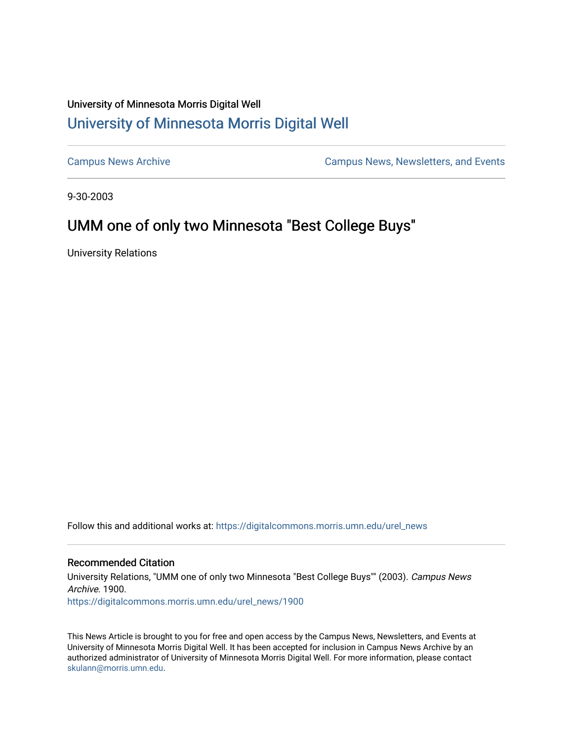## University of Minnesota Morris Digital Well [University of Minnesota Morris Digital Well](https://digitalcommons.morris.umn.edu/)

[Campus News Archive](https://digitalcommons.morris.umn.edu/urel_news) [Campus News, Newsletters, and Events](https://digitalcommons.morris.umn.edu/externalrel) 

9-30-2003

## UMM one of only two Minnesota "Best College Buys"

University Relations

Follow this and additional works at: [https://digitalcommons.morris.umn.edu/urel\\_news](https://digitalcommons.morris.umn.edu/urel_news?utm_source=digitalcommons.morris.umn.edu%2Furel_news%2F1900&utm_medium=PDF&utm_campaign=PDFCoverPages) 

## Recommended Citation

University Relations, "UMM one of only two Minnesota "Best College Buys"" (2003). Campus News Archive. 1900. [https://digitalcommons.morris.umn.edu/urel\\_news/1900](https://digitalcommons.morris.umn.edu/urel_news/1900?utm_source=digitalcommons.morris.umn.edu%2Furel_news%2F1900&utm_medium=PDF&utm_campaign=PDFCoverPages) 

This News Article is brought to you for free and open access by the Campus News, Newsletters, and Events at University of Minnesota Morris Digital Well. It has been accepted for inclusion in Campus News Archive by an authorized administrator of University of Minnesota Morris Digital Well. For more information, please contact [skulann@morris.umn.edu.](mailto:skulann@morris.umn.edu)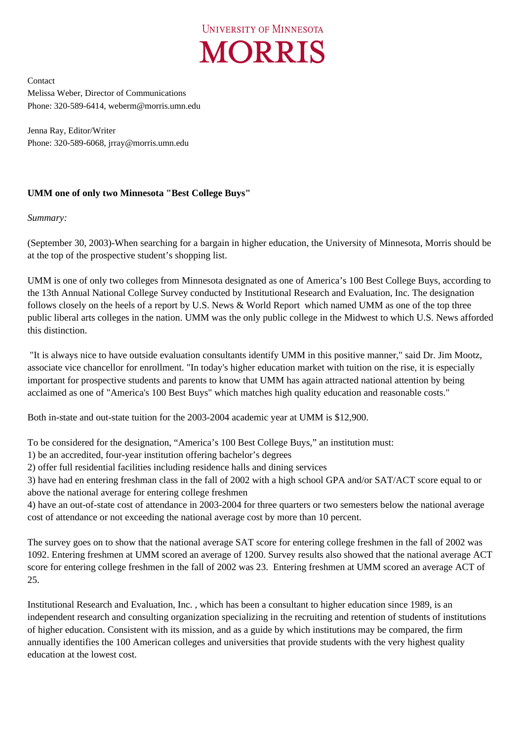

Contact Melissa Weber, Director of Communications Phone: 320-589-6414, weberm@morris.umn.edu

Jenna Ray, Editor/Writer Phone: 320-589-6068, jrray@morris.umn.edu

## **UMM one of only two Minnesota "Best College Buys"**

*Summary:* 

(September 30, 2003)-When searching for a bargain in higher education, the University of Minnesota, Morris should be at the top of the prospective student's shopping list.

UMM is one of only two colleges from Minnesota designated as one of America's 100 Best College Buys, according to the 13th Annual National College Survey conducted by Institutional Research and Evaluation, Inc. The designation follows closely on the heels of a report by U.S. News & World Report which named UMM as one of the top three public liberal arts colleges in the nation. UMM was the only public college in the Midwest to which U.S. News afforded this distinction.

 "It is always nice to have outside evaluation consultants identify UMM in this positive manner," said Dr. Jim Mootz, associate vice chancellor for enrollment. "In today's higher education market with tuition on the rise, it is especially important for prospective students and parents to know that UMM has again attracted national attention by being acclaimed as one of "America's 100 Best Buys" which matches high quality education and reasonable costs."

Both in-state and out-state tuition for the 2003-2004 academic year at UMM is \$12,900.

To be considered for the designation, "America's 100 Best College Buys," an institution must:

- 1) be an accredited, four-year institution offering bachelor's degrees
- 2) offer full residential facilities including residence halls and dining services

3) have had en entering freshman class in the fall of 2002 with a high school GPA and/or SAT/ACT score equal to or above the national average for entering college freshmen

4) have an out-of-state cost of attendance in 2003-2004 for three quarters or two semesters below the national average cost of attendance or not exceeding the national average cost by more than 10 percent.

The survey goes on to show that the national average SAT score for entering college freshmen in the fall of 2002 was 1092. Entering freshmen at UMM scored an average of 1200. Survey results also showed that the national average ACT score for entering college freshmen in the fall of 2002 was 23. Entering freshmen at UMM scored an average ACT of 25.

Institutional Research and Evaluation, Inc. , which has been a consultant to higher education since 1989, is an independent research and consulting organization specializing in the recruiting and retention of students of institutions of higher education. Consistent with its mission, and as a guide by which institutions may be compared, the firm annually identifies the 100 American colleges and universities that provide students with the very highest quality education at the lowest cost.